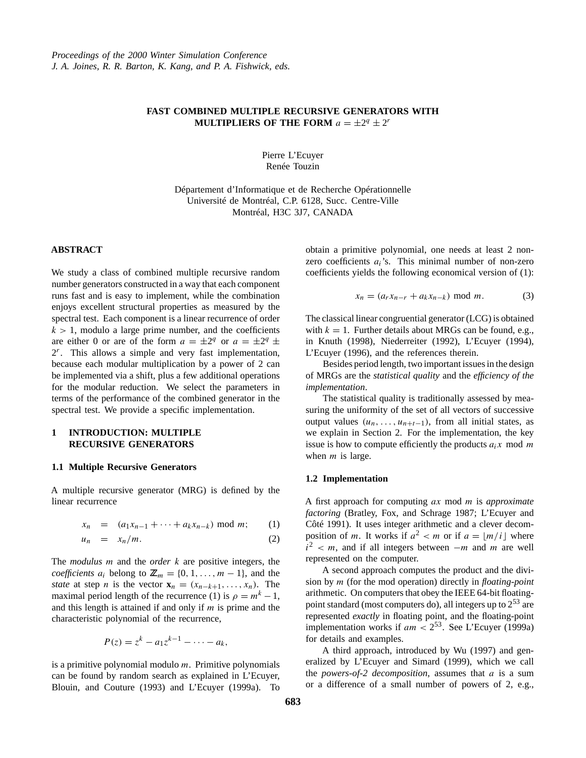### **FAST COMBINED MULTIPLE RECURSIVE GENERATORS WITH MULTIPLIERS OF THE FORM**  $a = \pm 2^q \pm 2^r$

Pierre L'Ecuyer Renée Touzin

Département d'Informatique et de Recherche Opérationnelle Université de Montréal, C.P. 6128, Succ. Centre-Ville Montréal, H3C 3J7, CANADA

### **ABSTRACT**

We study a class of combined multiple recursive random number generators constructed in a way that each component runs fast and is easy to implement, while the combination enjoys excellent structural properties as measured by the spectral test. Each component is a linear recurrence of order  $k > 1$ , modulo a large prime number, and the coefficients are either 0 or are of the form  $a = \pm 2^q$  or  $a = \pm 2^q \pm 1$  $2<sup>r</sup>$ . This allows a simple and very fast implementation, because each modular multiplication by a power of 2 can be implemented via a shift, plus a few additional operations for the modular reduction. We select the parameters in terms of the performance of the combined generator in the spectral test. We provide a specific implementation.

## **1 INTRODUCTION: MULTIPLE RECURSIVE GENERATORS**

### **1.1 Multiple Recursive Generators**

A multiple recursive generator (MRG) is defined by the linear recurrence

$$
x_n = (a_1x_{n-1} + \dots + a_kx_{n-k}) \bmod m; \qquad (1)
$$

$$
u_n = x_n/m. \t\t(2)
$$

The *modulus* m and the *order* k are positive integers, the *coefficients*  $a_i$  belong to  $\mathbb{Z}_m = \{0, 1, \ldots, m - 1\}$ , and the *state* at step *n* is the vector  $\mathbf{x}_n = (x_{n-k+1}, \ldots, x_n)$ . The maximal period length of the recurrence (1) is  $\rho = m^k - 1$ , and this length is attained if and only if  $m$  is prime and the characteristic polynomial of the recurrence,

$$
P(z) = z^k - a_1 z^{k-1} - \cdots - a_k,
$$

is a primitive polynomial modulo  $m$ . Primitive polynomials can be found by random search as explained in L'Ecuyer, Blouin, and Couture (1993) and L'Ecuyer (1999a). To obtain a primitive polynomial, one needs at least 2 nonzero coefficients  $a_i$ 's. This minimal number of non-zero coefficients yields the following economical version of (1):

$$
x_n = (a_r x_{n-r} + a_k x_{n-k}) \mod m. \tag{3}
$$

The classical linear congruential generator (LCG) is obtained with  $k = 1$ . Further details about MRGs can be found, e.g., in Knuth (1998), Niederreiter (1992), L'Ecuyer (1994), L'Ecuyer (1996), and the references therein.

Besides period length, two important issues in the design of MRGs are the *statistical quality* and the *efficiency of the implementation*.

The statistical quality is traditionally assessed by measuring the uniformity of the set of all vectors of successive output values  $(u_n, \ldots, u_{n+t-1})$ , from all initial states, as we explain in Section 2. For the implementation, the key issue is how to compute efficiently the products  $a_i x$  mod m when  $m$  is large.

### **1.2 Implementation**

A first approach for computing ax mod m is *approximate factoring* (Bratley, Fox, and Schrage 1987; L'Ecuyer and Côté 1991). It uses integer arithmetic and a clever decomposition of m. It works if  $a^2 < m$  or if  $a = \lfloor m/i \rfloor$  where  $\hat{i}^2$  < m, and if all integers between  $-m$  and m are well represented on the computer.

A second approach computes the product and the division by m (for the mod operation) directly in *floating-point* arithmetic. On computers that obey the IEEE 64-bit floatingpoint standard (most computers do), all integers up to  $2^{53}$  are represented *exactly* in floating point, and the floating-point implementation works if  $am < 2^{53}$ . See L'Ecuver (1999a) for details and examples.

A third approach, introduced by Wu (1997) and generalized by L'Ecuyer and Simard (1999), which we call the *powers-of-2 decomposition*, assumes that a is a sum or a difference of a small number of powers of 2, e.g.,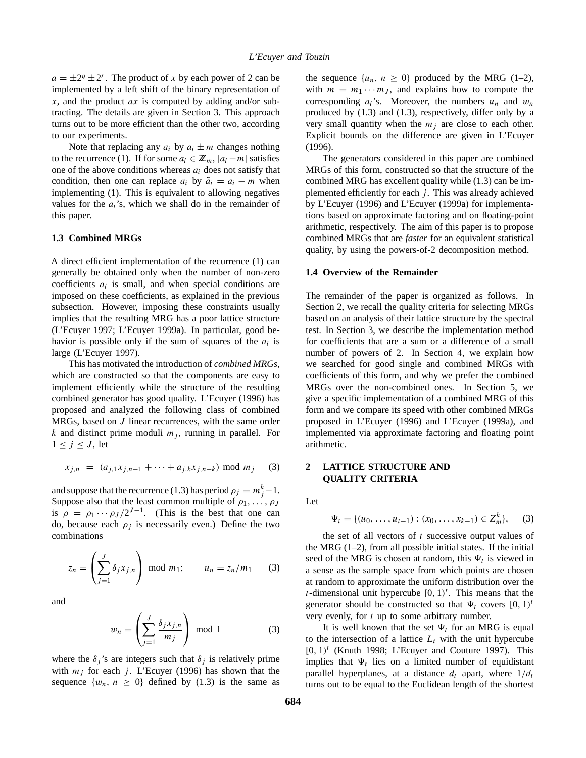$a = \pm 2^q \pm 2^r$ . The product of x by each power of 2 can be implemented by a left shift of the binary representation of x, and the product  $ax$  is computed by adding and/or subtracting. The details are given in Section 3. This approach turns out to be more efficient than the other two, according to our experiments.

Note that replacing any  $a_i$  by  $a_i \pm m$  changes nothing to the recurrence (1). If for some  $a_i \in \mathbb{Z}_m$ ,  $|a_i - m|$  satisfies one of the above conditions whereas  $a_i$  does not satisfy that condition, then one can replace  $a_i$  by  $\tilde{a}_i = a_i - m$  when implementing (1). This is equivalent to allowing negatives values for the  $a_i$ 's, which we shall do in the remainder of this paper.

### **1.3 Combined MRGs**

A direct efficient implementation of the recurrence (1) can generally be obtained only when the number of non-zero coefficients  $a_i$  is small, and when special conditions are imposed on these coefficients, as explained in the previous subsection. However, imposing these constraints usually implies that the resulting MRG has a poor lattice structure (L'Ecuyer 1997; L'Ecuyer 1999a). In particular, good behavior is possible only if the sum of squares of the  $a_i$  is large (L'Ecuyer 1997).

This has motivated the introduction of *combined MRGs*, which are constructed so that the components are easy to implement efficiently while the structure of the resulting combined generator has good quality. L'Ecuyer (1996) has proposed and analyzed the following class of combined MRGs, based on J linear recurrences, with the same order k and distinct prime moduli  $m_j$ , running in parallel. For  $1 \leq j \leq J$ , let

$$
x_{j,n} = (a_{j,1}x_{j,n-1} + \dots + a_{j,k}x_{j,n-k}) \mod m_j \quad (3)
$$

and suppose that the recurrence (1.3) has period  $\rho_j = m_j^k - 1$ . Suppose also that the least common multiple of  $\rho_1, \ldots, \rho_J$ is  $\rho = \rho_1 \cdots \rho_J / 2^{J-1}$ . (This is the best that one can do, because each  $\rho_i$  is necessarily even.) Define the two combinations

$$
z_n = \left(\sum_{j=1}^J \delta_j x_{j,n}\right) \text{ mod } m_1; \qquad u_n = z_n/m_1 \qquad (3)
$$

and

$$
w_n = \left(\sum_{j=1}^J \frac{\delta_j x_{j,n}}{m_j}\right) \text{ mod } 1 \tag{3}
$$

where the  $\delta_j$ 's are integers such that  $\delta_j$  is relatively prime with  $m_i$  for each j. L'Ecuyer (1996) has shown that the sequence  $\{w_n, n \geq 0\}$  defined by (1.3) is the same as

the sequence  $\{u_n, n \geq 0\}$  produced by the MRG (1–2), with  $m = m_1 \cdots m_J$ , and explains how to compute the corresponding  $a_i$ 's. Moreover, the numbers  $u_n$  and  $w_n$ produced by (1.3) and (1.3), respectively, differ only by a very small quantity when the  $m_i$  are close to each other. Explicit bounds on the difference are given in L'Ecuyer (1996).

The generators considered in this paper are combined MRGs of this form, constructed so that the structure of the combined MRG has excellent quality while (1.3) can be implemented efficiently for each  $j$ . This was already achieved by L'Ecuyer (1996) and L'Ecuyer (1999a) for implementations based on approximate factoring and on floating-point arithmetic, respectively. The aim of this paper is to propose combined MRGs that are *faster* for an equivalent statistical quality, by using the powers-of-2 decomposition method.

#### **1.4 Overview of the Remainder**

The remainder of the paper is organized as follows. In Section 2, we recall the quality criteria for selecting MRGs based on an analysis of their lattice structure by the spectral test. In Section 3, we describe the implementation method for coefficients that are a sum or a difference of a small number of powers of 2. In Section 4, we explain how we searched for good single and combined MRGs with coefficients of this form, and why we prefer the combined MRGs over the non-combined ones. In Section 5, we give a specific implementation of a combined MRG of this form and we compare its speed with other combined MRGs proposed in L'Ecuyer (1996) and L'Ecuyer (1999a), and implemented via approximate factoring and floating point arithmetic.

# **2 LATTICE STRUCTURE AND QUALITY CRITERIA**

Let

$$
\Psi_t = \{ (u_0, \dots, u_{t-1}) : (x_0, \dots, x_{k-1}) \in Z_m^k \}, \quad (3)
$$

the set of all vectors of  $t$  successive output values of the MRG  $(1-2)$ , from all possible initial states. If the initial seed of the MRG is chosen at random, this  $\Psi_t$  is viewed in a sense as the sample space from which points are chosen at random to approximate the uniform distribution over the *t*-dimensional unit hypercube  $[0, 1)^t$ . This means that the generator should be constructed so that  $\Psi_t$  covers  $[0, 1)^t$ very evenly, for t up to some arbitrary number.

It is well known that the set  $\Psi_t$  for an MRG is equal to the intersection of a lattice  $L_t$  with the unit hypercube  $[0, 1)^t$  (Knuth 1998; L'Ecuyer and Couture 1997). This implies that  $\Psi_t$  lies on a limited number of equidistant parallel hyperplanes, at a distance  $d_t$  apart, where  $1/d_t$ turns out to be equal to the Euclidean length of the shortest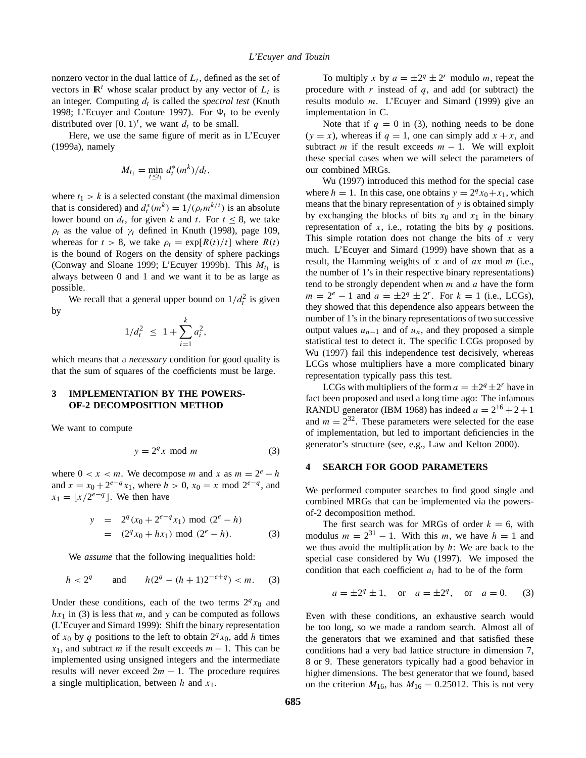nonzero vector in the dual lattice of  $L_t$ , defined as the set of vectors in  $\mathbb{R}^t$  whose scalar product by any vector of  $L_t$  is an integer. Computing  $d_t$  is called the *spectral test* (Knuth 1998; L'Ecuyer and Couture 1997). For  $\Psi_t$  to be evenly distributed over  $[0, 1)^t$ , we want  $d_t$  to be small.

Here, we use the same figure of merit as in L'Ecuyer (1999a), namely

$$
M_{t_1} = \min_{t \le t_1} d_t^*(m^k)/d_t,
$$

where  $t_1 > k$  is a selected constant (the maximal dimension that is considered) and  $d_t^*(m^k) = 1/(\rho_t m^{k/t})$  is an absolute lower bound on  $d_t$ , for given k and t. For  $t \leq 8$ , we take  $\rho_t$  as the value of  $\gamma_t$  defined in Knuth (1998), page 109, whereas for  $t > 8$ , we take  $\rho_t = \exp[R(t)/t]$  where  $R(t)$ is the bound of Rogers on the density of sphere packings (Conway and Sloane 1999; L'Ecuyer 1999b). This  $M_{t_1}$  is always between 0 and 1 and we want it to be as large as possible.

We recall that a general upper bound on  $1/d_t^2$  is given by

$$
1/d_t^2 \leq 1 + \sum_{i=1}^k a_i^2,
$$

which means that a *necessary* condition for good quality is that the sum of squares of the coefficients must be large.

### **3 IMPLEMENTATION BY THE POWERS-OF-2 DECOMPOSITION METHOD**

We want to compute

$$
y = 2^q x \mod m \tag{3}
$$

where  $0 < x < m$ . We decompose m and x as  $m = 2^e - h$ and  $x = x_0 + 2^{e-q} x_1$ , where  $h > 0$ ,  $x_0 = x \mod 2^{e-q}$ , and  $x_1 = |x/2^{e-q}|$ . We then have

$$
y = 2q(x0 + 2e-qx1) \text{ mod } (2e - h)
$$
  
= (2<sup>q</sup>x<sub>0</sub> + hx<sub>1</sub>) mod (2<sup>e</sup> - h). (3)

We *assume* that the following inequalities hold:

$$
h < 2^q
$$
 and  $h(2^q - (h+1)2^{-e+q}) < m$ . (3)

Under these conditions, each of the two terms  $2<sup>q</sup>x<sub>0</sub>$  and  $hx_1$  in (3) is less that m, and y can be computed as follows (L'Ecuyer and Simard 1999): Shift the binary representation of  $x_0$  by q positions to the left to obtain  $2^q x_0$ , add h times  $x_1$ , and subtract m if the result exceeds  $m - 1$ . This can be implemented using unsigned integers and the intermediate results will never exceed  $2m - 1$ . The procedure requires a single multiplication, between h and  $x_1$ .

To multiply x by  $a = \pm 2^q \pm 2^r$  modulo m, repeat the procedure with  $r$  instead of  $q$ , and add (or subtract) the results modulo  $m$ . L'Ecuyer and Simard (1999) give an implementation in C.

Note that if  $q = 0$  in (3), nothing needs to be done  $(y = x)$ , whereas if  $q = 1$ , one can simply add  $x + x$ , and subtract m if the result exceeds  $m - 1$ . We will exploit these special cases when we will select the parameters of our combined MRGs.

Wu (1997) introduced this method for the special case where  $h = 1$ . In this case, one obtains  $y = 2<sup>q</sup> x<sub>0</sub> + x<sub>1</sub>$ , which means that the binary representation of y is obtained simply by exchanging the blocks of bits  $x_0$  and  $x_1$  in the binary representation of x, i.e., rotating the bits by  $q$  positions. This simple rotation does not change the bits of  $x$  very much. L'Ecuyer and Simard (1999) have shown that as a result, the Hamming weights of x and of  $ax \mod m$  (i.e., the number of 1's in their respective binary representations) tend to be strongly dependent when  $m$  and  $a$  have the form  $m = 2^{e} - 1$  and  $a = \pm 2^{q} \pm 2^{r}$ . For  $k = 1$  (i.e., LCGs), they showed that this dependence also appears between the number of 1's in the binary representations of two successive output values  $u_{n-1}$  and of  $u_n$ , and they proposed a simple statistical test to detect it. The specific LCGs proposed by Wu (1997) fail this independence test decisively, whereas LCGs whose multipliers have a more complicated binary representation typically pass this test.

LCGs with multipliers of the form  $a = \pm 2^q \pm 2^r$  have in fact been proposed and used a long time ago: The infamous RANDU generator (IBM 1968) has indeed  $a = 2^{16} + 2 + 1$ and  $m = 2^{32}$ . These parameters were selected for the ease of implementation, but led to important deficiencies in the generator's structure (see, e.g., Law and Kelton 2000).

### **4 SEARCH FOR GOOD PARAMETERS**

We performed computer searches to find good single and combined MRGs that can be implemented via the powersof-2 decomposition method.

The first search was for MRGs of order  $k = 6$ , with modulus  $m = 2^{31} - 1$ . With this m, we have  $h = 1$  and we thus avoid the multiplication by  $h$ : We are back to the special case considered by Wu (1997). We imposed the condition that each coefficient  $a_i$  had to be of the form

$$
a = \pm 2^q \pm 1
$$
, or  $a = \pm 2^q$ , or  $a = 0$ . (3)

Even with these conditions, an exhaustive search would be too long, so we made a random search. Almost all of the generators that we examined and that satisfied these conditions had a very bad lattice structure in dimension 7, 8 or 9. These generators typically had a good behavior in higher dimensions. The best generator that we found, based on the criterion  $M_{16}$ , has  $M_{16} = 0.25012$ . This is not very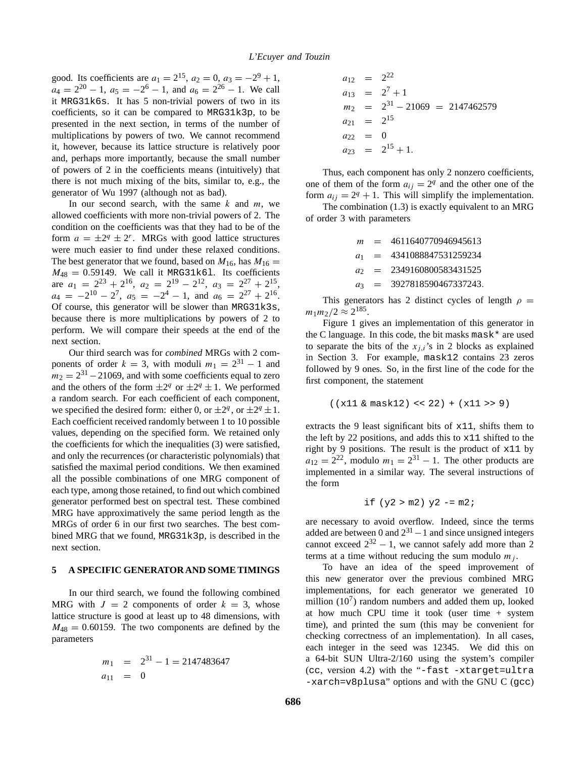good. Its coefficients are  $a_1 = 2^{15}$ ,  $a_2 = 0$ ,  $a_3 = -2^9 + 1$ ,  $a_4 = 2^{20} - 1$ ,  $a_5 = -2^6 - 1$ , and  $a_6 = 2^{26} - 1$ . We call it MRG31k6s. It has 5 non-trivial powers of two in its coefficients, so it can be compared to MRG31k3p, to be presented in the next section, in terms of the number of multiplications by powers of two. We cannot recommend it, however, because its lattice structure is relatively poor and, perhaps more importantly, because the small number of powers of 2 in the coefficients means (intuitively) that there is not much mixing of the bits, similar to, e.g., the generator of Wu 1997 (although not as bad).

In our second search, with the same  $k$  and  $m$ , we allowed coefficients with more non-trivial powers of 2. The condition on the coefficients was that they had to be of the form  $a = \pm 2^q \pm 2^r$ . MRGs with good lattice structures were much easier to find under these relaxed conditions. The best generator that we found, based on  $M_{16}$ , has  $M_{16} =$  $M_{48} = 0.59149$ . We call it MRG31k61. Its coefficients are  $a_1 = 2^{23} + 2^{16}$ ,  $a_2 = 2^{19} - 2^{12}$ ,  $a_3 = 2^{27} + 2^{15}$ ,  $a_4 = -2^{10} - 2^7$ ,  $a_5 = -2^4 - 1$ , and  $a_6 = 2^{27} + 2^{16}$ . Of course, this generator will be slower than MRG31k3s, because there is more multiplications by powers of 2 to perform. We will compare their speeds at the end of the next section.

Our third search was for *combined* MRGs with 2 components of order  $k = 3$ , with moduli  $m_1 = 2^{31} - 1$  and  $m_2 = 2^{31} - 21069$ , and with some coefficients equal to zero and the others of the form  $\pm 2^q$  or  $\pm 2^q \pm 1$ . We performed a random search. For each coefficient of each component, we specified the desired form: either 0, or  $\pm 2^q$ , or  $\pm 2^q \pm 1$ . Each coefficient received randomly between 1 to 10 possible values, depending on the specified form. We retained only the coefficients for which the inequalities (3) were satisfied, and only the recurrences (or characteristic polynomials) that satisfied the maximal period conditions. We then examined all the possible combinations of one MRG component of each type, among those retained, to find out which combined generator performed best on spectral test. These combined MRG have approximatively the same period length as the MRGs of order 6 in our first two searches. The best combined MRG that we found, MRG31k3p, is described in the next section.

#### **5 A SPECIFIC GENERATOR AND SOME TIMINGS**

In our third search, we found the following combined MRG with  $J = 2$  components of order  $k = 3$ , whose lattice structure is good at least up to 48 dimensions, with  $M_{48} = 0.60159$ . The two components are defined by the parameters

$$
m_1 = 2^{31} - 1 = 2147483647
$$
  

$$
a_{11} = 0
$$

$$
a_{12} = 2^{22}
$$
  
\n
$$
a_{13} = 2^7 + 1
$$
  
\n
$$
m_2 = 2^{31} - 21069 = 2147462579
$$
  
\n
$$
a_{21} = 2^{15}
$$
  
\n
$$
a_{22} = 0
$$
  
\n
$$
a_{23} = 2^{15} + 1.
$$

Thus, each component has only 2 nonzero coefficients, one of them of the form  $a_{ij} = 2^q$  and the other one of the form  $a_{ij} = 2^q + 1$ . This will simplify the implementation.

The combination (1.3) is exactly equivalent to an MRG of order 3 with parameters

> $m = 4611640770946945613$  $a_1$  = 4341088847531259234  $a_2$  = 2349160800583431525  $a_3$  = 3927818590467337243.

This generators has 2 distinct cycles of length  $\rho =$  $m_1m_2/2 \approx 2^{185}$ .

Figure 1 gives an implementation of this generator in the C language. In this code, the bit masks mask\* are used to separate the bits of the  $x_{i,i}$ 's in 2 blocks as explained in Section 3. For example, mask12 contains 23 zeros followed by 9 ones. So, in the first line of the code for the first component, the statement

$$
((x11 & mask12) << 22) + (x11 >> 9)
$$

extracts the 9 least significant bits of  $x11$ , shifts them to the left by 22 positions, and adds this to  $x11$  shifted to the right by 9 positions. The result is the product of x11 by  $a_{12} = 2^{22}$ , modulo  $m_1 = 2^{31} - 1$ . The other products are implemented in a similar way. The several instructions of the form

if 
$$
(y2 > m2) y2 = m2
$$
;

are necessary to avoid overflow. Indeed, since the terms added are between 0 and  $2^{31}$  – 1 and since unsigned integers cannot exceed  $2^{32} - 1$ , we cannot safely add more than 2 terms at a time without reducing the sum modulo  $m_i$ .

To have an idea of the speed improvement of this new generator over the previous combined MRG implementations, for each generator we generated 10 million  $(10^7)$  random numbers and added them up, looked at how much CPU time it took (user time + system time), and printed the sum (this may be convenient for checking correctness of an implementation). In all cases, each integer in the seed was 12345. We did this on a 64-bit SUN Ultra-2/160 using the system's compiler (cc, version 4.2) with the "-fast -xtarget=ultra -xarch=v8plusa" options and with the GNU C (gcc)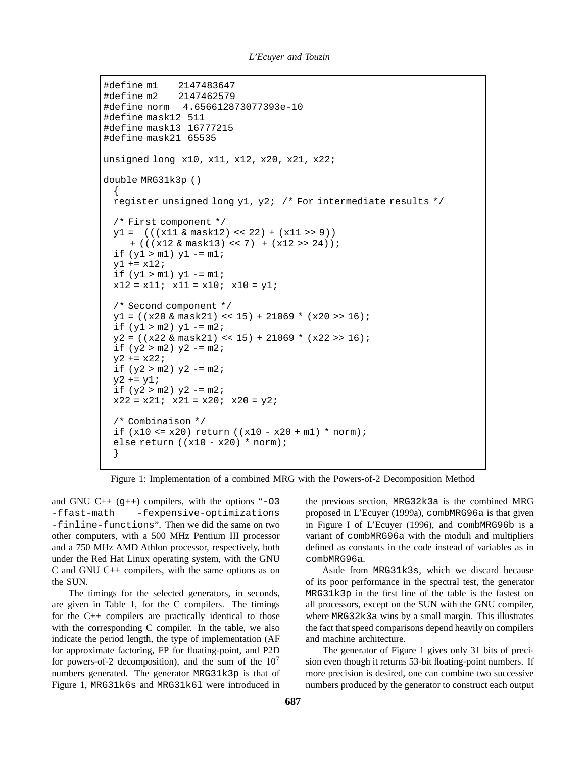```
#define m1 2147483647
#define m2 2147462579
#define norm 4.656612873077393e-10
#define mask12 511
#define mask13 16777215
#define mask21 65535
unsigned long x10, x11, x12, x20, x21, x22;
double MRG31k3p ()
  {
 register unsigned long y1, y2; /* For intermediate results */
 /* First component */
 y1 = (((x11 & mask12) << 22) + (x11 > > 9))
     + (((x12 & mask13) << 7) + (x12 > 24));
 if (y1 > m1) y1 = m1;
 y1 == x12;if (y1 > m1) y1 = m1;
 x12 = x11; x11 = x10; x10 = y1;/* Second component */
 y1 = ((x20 \& mask21) << 15) + 21069 * (x20 >> 16);if (y1 > m2) y1 - m2;
 y2 = ( (x22 \&amp; \text{mask}21) << 15) + 21069 * (x22 >> 16);if (y2 > m2) y2 = m2;
 y2 == x22;if (y2 > m2) y2 = m2;
 y2 == y1;if (y2 > m2) y2 = m2;
 x22 = x21; x21 = x20; x20 = y2;
 /* Combinaison */
 if (x10 \le x20) return ((x10 - x20 + m1) * norm);
 else return ((x10 - x20) * norm);}
```
Figure 1: Implementation of a combined MRG with the Powers-of-2 Decomposition Method

and GNU  $C_{++}$  (q++) compilers, with the options "-03 -ffast-math -fexpensive-optimizations -finline-functions". Then we did the same on two other computers, with a 500 MHz Pentium III processor and a 750 MHz AMD Athlon processor, respectively, both under the Red Hat Linux operating system, with the GNU C and GNU C++ compilers, with the same options as on the SUN.

The timings for the selected generators, in seconds, are given in Table 1, for the C compilers. The timings for the C++ compilers are practically identical to those with the corresponding C compiler. In the table, we also indicate the period length, the type of implementation (AF for approximate factoring, FP for floating-point, and P2D for powers-of-2 decomposition), and the sum of the  $10<sup>7</sup>$ numbers generated. The generator MRG31k3p is that of Figure 1, MRG31k6s and MRG31k6l were introduced in the previous section, MRG32k3a is the combined MRG proposed in L'Ecuyer (1999a), combMRG96a is that given in Figure I of L'Ecuyer (1996), and combMRG96b is a variant of combMRG96a with the moduli and multipliers defined as constants in the code instead of variables as in combMRG96a.

Aside from MRG31k3s, which we discard because of its poor performance in the spectral test, the generator MRG31k3p in the first line of the table is the fastest on all processors, except on the SUN with the GNU compiler, where MRG32k3a wins by a small margin. This illustrates the fact that speed comparisons depend heavily on compilers and machine architecture.

The generator of Figure 1 gives only 31 bits of precision even though it returns 53-bit floating-point numbers. If more precision is desired, one can combine two successive numbers produced by the generator to construct each output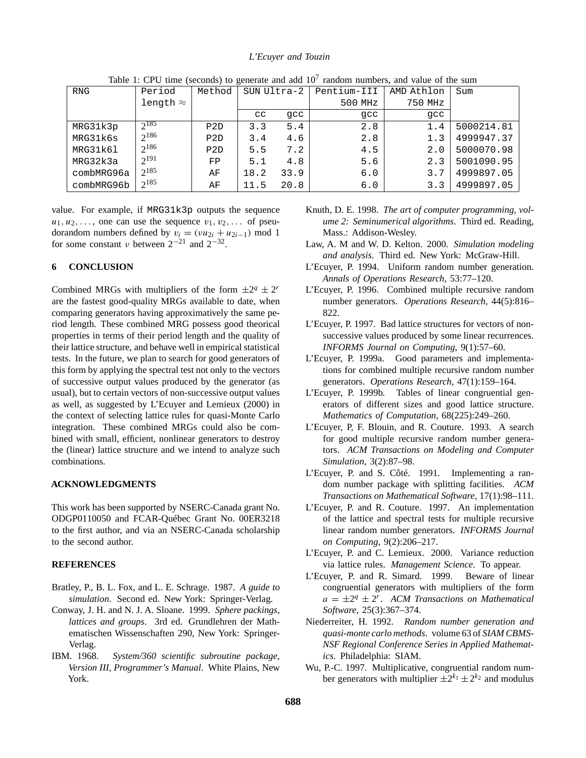### *L'Ecuyer and Touzin*

| <b>RNG</b> | Period           | Method | SUN Ultra-2 |      | Pentium-III | AMD Athlon | Sum        |
|------------|------------------|--------|-------------|------|-------------|------------|------------|
|            | length $\approx$ |        |             |      | 500 MHz     | 750 MHz    |            |
|            |                  |        | $_{\rm cc}$ | qcc  | qcc         | qcc        |            |
| MRG31k3p   | $2^{185}$        | P2D    | 3.3         | 5.4  | 2.8         | 1.4        | 5000214.81 |
| MRG31k6s   | $2^{186}$        | P2D    | 3.4         | 4.6  | 2.8         | 1.3        | 4999947.37 |
| MRG31k61   | $2^{186}$        | P2D    | 5.5         | 7.2  | 4.5         | 2.0        | 5000070.98 |
| MRG32k3a   | $2^{191}$        | FP     | 5.1         | 4.8  | 5.6         | 2.3        | 5001090.95 |
| combMRG96a | $2^{185}$        | AF     | 18.2        | 33.9 | 6.0         | 3.7        | 4999897.05 |
| combMRG96b | $2^{185}$        | ΑF     | 11.5        | 20.8 | 6.0         | 3.3        | 4999897.05 |

Table 1: CPU time (seconds) to generate and add  $10<sup>7</sup>$  random numbers, and value of the sum

value. For example, if MRG31k3p outputs the sequence  $u_1, u_2, \ldots$ , one can use the sequence  $v_1, v_2, \ldots$  of pseudorandom numbers defined by  $v_i = (vu_{2i} + u_{2i-1}) \text{ mod } 1$ for some constant  $\nu$  between  $2^{-21}$  and  $2^{-32}$ .

## **6 CONCLUSION**

Combined MRGs with multipliers of the form  $\pm 2^q \pm 2^r$ are the fastest good-quality MRGs available to date, when comparing generators having approximatively the same period length. These combined MRG possess good theorical properties in terms of their period length and the quality of their lattice structure, and behave well in empirical statistical tests. In the future, we plan to search for good generators of this form by applying the spectral test not only to the vectors of successive output values produced by the generator (as usual), but to certain vectors of non-successive output values as well, as suggested by L'Ecuyer and Lemieux (2000) in the context of selecting lattice rules for quasi-Monte Carlo integration. These combined MRGs could also be combined with small, efficient, nonlinear generators to destroy the (linear) lattice structure and we intend to analyze such combinations.

#### **ACKNOWLEDGMENTS**

This work has been supported by NSERC-Canada grant No. ODGP0110050 and FCAR-Québec Grant No. 00ER3218 to the first author, and via an NSERC-Canada scholarship to the second author.

### **REFERENCES**

- Bratley, P., B. L. Fox, and L. E. Schrage. 1987. *A guide to simulation*. Second ed. New York: Springer-Verlag.
- Conway, J. H. and N. J. A. Sloane. 1999. *Sphere packings, lattices and groups*. 3rd ed. Grundlehren der Mathematischen Wissenschaften 290, New York: Springer-Verlag.
- IBM. 1968. *System/360 scientific subroutine package, Version III, Programmer's Manual*. White Plains, New York.
- Knuth, D. E. 1998. *The art of computer programming, volume 2: Seminumerical algorithms*. Third ed. Reading, Mass.: Addison-Wesley.
- Law, A. M and W. D. Kelton. 2000. *Simulation modeling and analysis*. Third ed. New York: McGraw-Hill.
- L'Ecuyer, P. 1994. Uniform random number generation. *Annals of Operations Research*, 53:77–120.
- L'Ecuyer, P. 1996. Combined multiple recursive random number generators. *Operations Research*, 44(5):816– 822.
- L'Ecuyer, P. 1997. Bad lattice structures for vectors of nonsuccessive values produced by some linear recurrences. *INFORMS Journal on Computing*, 9(1):57–60.
- L'Ecuyer, P. 1999a. Good parameters and implementations for combined multiple recursive random number generators. *Operations Research*, 47(1):159–164.
- L'Ecuyer, P. 1999b. Tables of linear congruential generators of different sizes and good lattice structure. *Mathematics of Computation*, 68(225):249–260.
- L'Ecuyer, P, F. Blouin, and R. Couture. 1993. A search for good multiple recursive random number generators. *ACM Transactions on Modeling and Computer Simulation*, 3(2):87–98.
- L'Ecuyer, P. and S. Côté. 1991. Implementing a random number package with splitting facilities. *ACM Transactions on Mathematical Software*, 17(1):98–111.
- L'Ecuyer, P. and R. Couture. 1997. An implementation of the lattice and spectral tests for multiple recursive linear random number generators. *INFORMS Journal on Computing*, 9(2):206–217.
- L'Ecuyer, P. and C. Lemieux. 2000. Variance reduction via lattice rules. *Management Science*. To appear.
- L'Ecuyer, P. and R. Simard. 1999. Beware of linear congruential generators with multipliers of the form  $a = \pm 2^q \pm 2^r$ . *ACM Transactions on Mathematical Software*, 25(3):367–374.
- Niederreiter, H. 1992. *Random number generation and quasi-monte carlo methods*. volume 63 of *SIAM CBMS-NSF Regional Conference Series in Applied Mathematics*. Philadelphia: SIAM.
- Wu, P.-C. 1997. Multiplicative, congruential random number generators with multiplier  $\pm 2^{k_1} \pm 2^{k_2}$  and modulus